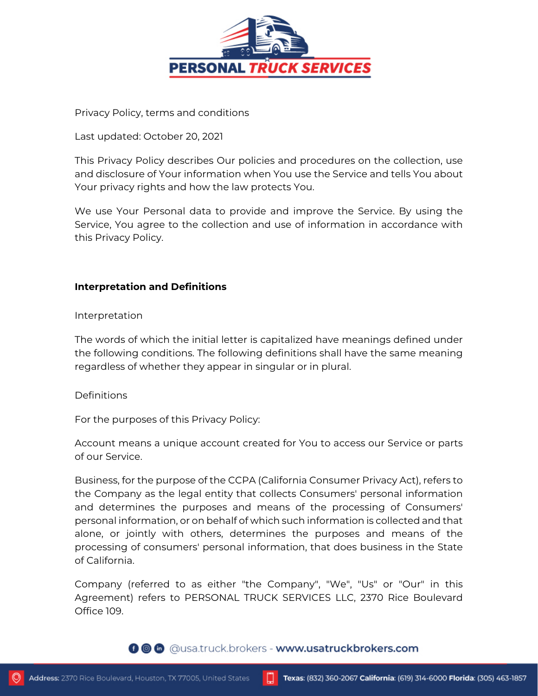

Privacy Policy, terms and conditions

Last updated: October 20, 2021

This Privacy Policy describes Our policies and procedures on the collection, use and disclosure of Your information when You use the Service and tells You about Your privacy rights and how the law protects You.

We use Your Personal data to provide and improve the Service. By using the Service, You agree to the collection and use of information in accordance with this Privacy Policy.

### **Interpretation and Definitions**

Interpretation

The words of which the initial letter is capitalized have meanings defined under the following conditions. The following definitions shall have the same meaning regardless of whether they appear in singular or in plural.

#### Definitions

For the purposes of this Privacy Policy:

Account means a unique account created for You to access our Service or parts of our Service.

Business, for the purpose of the CCPA (California Consumer Privacy Act), refers to the Company as the legal entity that collects Consumers' personal information and determines the purposes and means of the processing of Consumers' personal information, or on behalf of which such information is collected and that alone, or jointly with others, determines the purposes and means of the processing of consumers' personal information, that does business in the State of California.

Company (referred to as either "the Company", "We", "Us" or "Our" in this Agreement) refers to PERSONAL TRUCK SERVICES LLC, 2370 Rice Boulevard Office 109.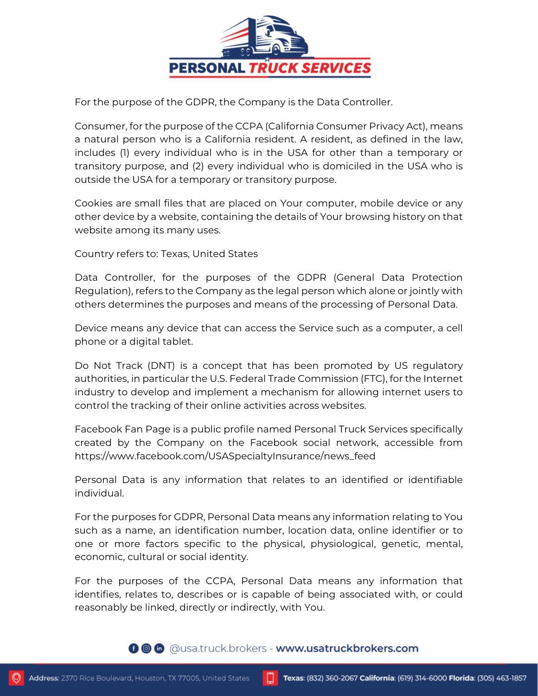

For the purpose of the GDPR, the Company is the Data Controller.

Consumer, for the purpose of the CCPA (California Consumer Privacy Act), means a natural person who is a California resident. A resident, as defined in the law, includes (1) every individual who is in the USA for other than a temporary or transitory purpose, and (2) every individual who is domiciled in the USA who is outside the USA for a temporary or transitory purpose.

Cookies are small files that are placed on Your computer, mobile device or any other device by a website, containing the details of Your browsing history on that website among its many uses.

Country refers to: Texas, United States

Data Controller, for the purposes of the GDPR (General Data Protection Regulation), refers to the Company as the legal person which alone or jointly with others determines the purposes and means of the processing of Personal Data.

Device means any device that can access the Service such as a computer, a cell phone or a digital tablet.

Do Not Track (DNT) is a concept that has been promoted by US regulatory authorities, in particular the U.S. Federal Trade Commission (FTC), for the Internet industry to develop and implement a mechanism for allowing internet users to control the tracking of their online activities across websites.

Facebook Fan Page is a public profile named Personal Truck Services specifically created by the Company on the Facebook social network, accessible fro[m](https://www.facebook.com/Personal-Truck-Services-104098388690837/?ref=pages_you_manage) https://www.facebook.com/USASpecialtyInsurance/news\_feed

Personal Data is any information that relates to an identified or identifiable individual.

For the purposes for GDPR, Personal Data means any information relating to You such as a name, an identification number, location data, online identifier or to one or more factors specific to the physical, physiological, genetic, mental, economic, cultural or social identity.

For the purposes of the CCPA, Personal Data means any information that identifies, relates to, describes or is capable of being associated with, or could reasonably be linked, directly or indirectly, with You.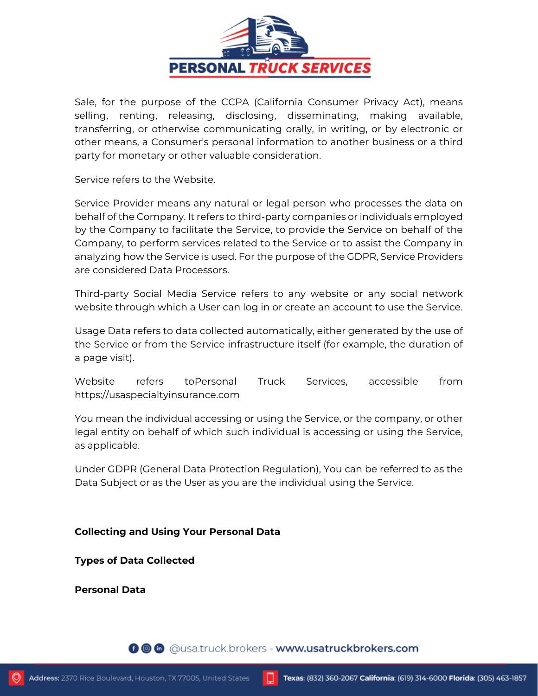

Sale, for the purpose of the CCPA (California Consumer Privacy Act), means selling, renting, releasing, disclosing, disseminating, making available, transferring, or otherwise communicating orally, in writing, or by electronic or other means, a Consumer's personal information to another business or a third party for monetary or other valuable consideration.

Service refers to the Website.

Service Provider means any natural or legal person who processes the data on behalf of the Company. It refers to third-party companies or individuals employed by the Company to facilitate the Service, to provide the Service on behalf of the Company, to perform services related to the Service or to assist the Company in analyzing how the Service is used. For the purpose of the GDPR, Service Providers are considered Data Processors.

Third-party Social Media Service refers to any website or any social network website through which a User can log in or create an account to use the Service.

Usage Data refers to data collected automatically, either generated by the use of the Service or from the Service infrastructure itself (for example, the duration of a page visit).

Website refers toPersonal Truck Services, accessible from https://usaspecialtyinsurance.com

You mean the individual accessing or using the Service, or the company, or other legal entity on behalf of which such individual is accessing or using the Service, as applicable.

Under GDPR (General Data Protection Regulation), You can be referred to as the Data Subject or as the User as you are the individual using the Service.

## **Collecting and Using Your Personal Data**

**Types of Data Collected**

**Personal Data**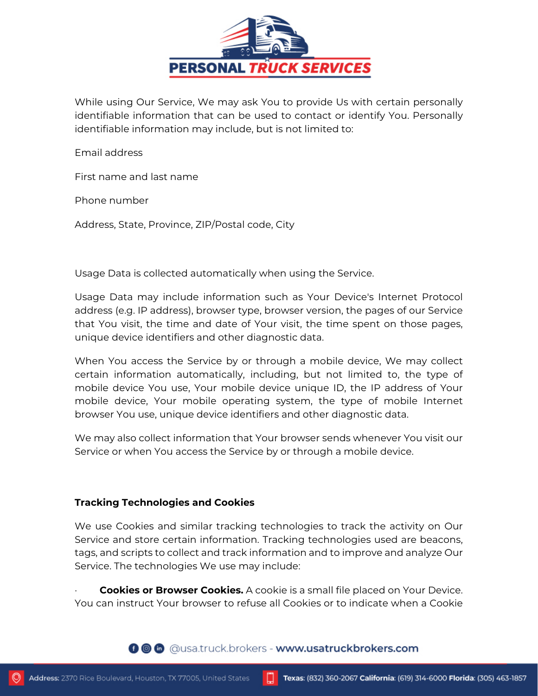

While using Our Service, We may ask You to provide Us with certain personally identifiable information that can be used to contact or identify You. Personally identifiable information may include, but is not limited to:

Email address

First name and last name

Phone number

Address, State, Province, ZIP/Postal code, City

Usage Data is collected automatically when using the Service.

Usage Data may include information such as Your Device's Internet Protocol address (e.g. IP address), browser type, browser version, the pages of our Service that You visit, the time and date of Your visit, the time spent on those pages, unique device identifiers and other diagnostic data.

When You access the Service by or through a mobile device, We may collect certain information automatically, including, but not limited to, the type of mobile device You use, Your mobile device unique ID, the IP address of Your mobile device, Your mobile operating system, the type of mobile Internet browser You use, unique device identifiers and other diagnostic data.

We may also collect information that Your browser sends whenever You visit our Service or when You access the Service by or through a mobile device.

## **Tracking Technologies and Cookies**

We use Cookies and similar tracking technologies to track the activity on Our Service and store certain information. Tracking technologies used are beacons, tags, and scripts to collect and track information and to improve and analyze Our Service. The technologies We use may include:

**Cookies or Browser Cookies.** A cookie is a small file placed on Your Device. You can instruct Your browser to refuse all Cookies or to indicate when a Cookie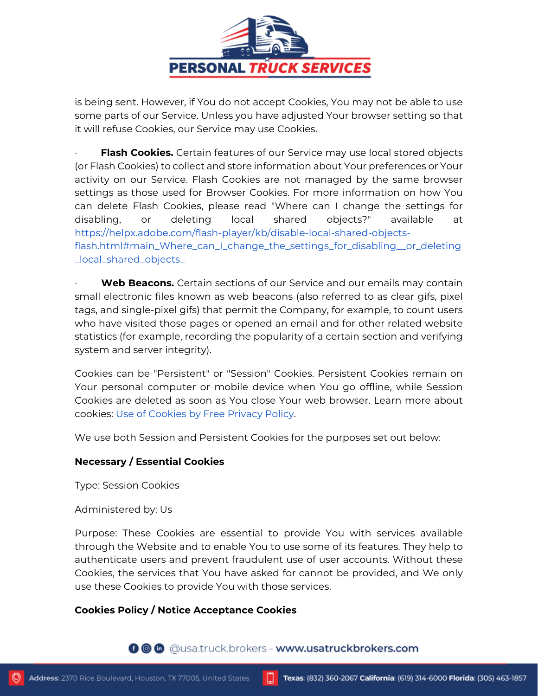

is being sent. However, if You do not accept Cookies, You may not be able to use some parts of our Service. Unless you have adjusted Your browser setting so that it will refuse Cookies, our Service may use Cookies.

**Flash Cookies.** Certain features of our Service may use local stored objects (or Flash Cookies) to collect and store information about Your preferences or Your activity on our Service. Flash Cookies are not managed by the same browser settings as those used for Browser Cookies. For more information on how You can delete Flash Cookies, please read "Where can I change the settings for disabling, or deleting local shared objects?" available a[t](https://helpx.adobe.com/flash-player/kb/disable-local-shared-objects-flash.html#main_Where_can_I_change_the_settings_for_disabling__or_deleting_local_shared_objects_) [https://helpx.adobe.com/flash-player/kb/disable-local-shared-objects](https://helpx.adobe.com/flash-player/kb/disable-local-shared-objects-flash.html#main_Where_can_I_change_the_settings_for_disabling__or_deleting_local_shared_objects_)[flash.html#main\\_Where\\_can\\_I\\_change\\_the\\_settings\\_for\\_disabling\\_\\_or\\_deleting](https://helpx.adobe.com/flash-player/kb/disable-local-shared-objects-flash.html#main_Where_can_I_change_the_settings_for_disabling__or_deleting_local_shared_objects_) [\\_local\\_shared\\_objects\\_](https://helpx.adobe.com/flash-player/kb/disable-local-shared-objects-flash.html#main_Where_can_I_change_the_settings_for_disabling__or_deleting_local_shared_objects_)

**Web Beacons.** Certain sections of our Service and our emails may contain small electronic files known as web beacons (also referred to as clear gifs, pixel tags, and single-pixel gifs) that permit the Company, for example, to count users who have visited those pages or opened an email and for other related website statistics (for example, recording the popularity of a certain section and verifying system and server integrity).

Cookies can be "Persistent" or "Session" Cookies. Persistent Cookies remain on Your personal computer or mobile device when You go offline, while Session Cookies are deleted as soon as You close Your web browser. Learn more about cookies: [Use of Cookies by Free Privacy Policy.](https://www.freeprivacypolicy.com/blog/sample-privacy-policy-template/#Use_Of_Cookies_And_Tracking)

We use both Session and Persistent Cookies for the purposes set out below:

## **Necessary / Essential Cookies**

Type: Session Cookies

Administered by: Us

Purpose: These Cookies are essential to provide You with services available through the Website and to enable You to use some of its features. They help to authenticate users and prevent fraudulent use of user accounts. Without these Cookies, the services that You have asked for cannot be provided, and We only use these Cookies to provide You with those services.

#### **Cookies Policy / Notice Acceptance Cookies**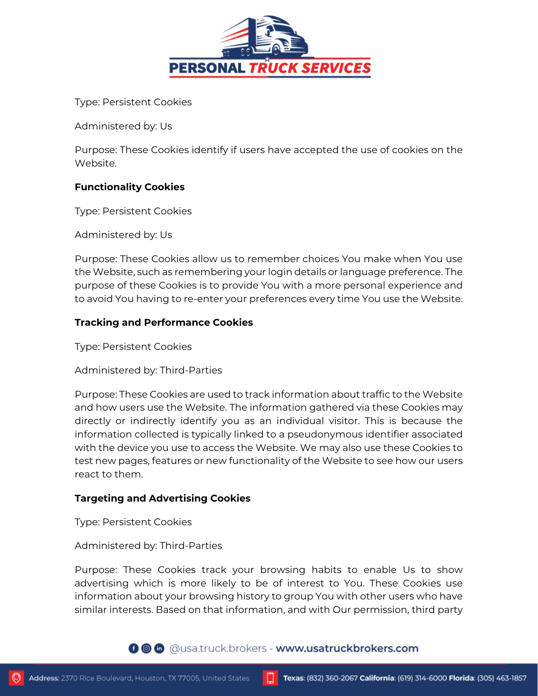

Type: Persistent Cookies

Administered by: Us

Purpose: These Cookies identify if users have accepted the use of cookies on the Website.

## **Functionality Cookies**

Type: Persistent Cookies

Administered by: Us

Purpose: These Cookies allow us to remember choices You make when You use the Website, such as remembering your login details or language preference. The purpose of these Cookies is to provide You with a more personal experience and to avoid You having to re-enter your preferences every time You use the Website.

## **Tracking and Performance Cookies**

Type: Persistent Cookies

Administered by: Third-Parties

Purpose: These Cookies are used to track information about traffic to the Website and how users use the Website. The information gathered via these Cookies may directly or indirectly identify you as an individual visitor. This is because the information collected is typically linked to a pseudonymous identifier associated with the device you use to access the Website. We may also use these Cookies to test new pages, features or new functionality of the Website to see how our users react to them.

## **Targeting and Advertising Cookies**

Type: Persistent Cookies

Administered by: Third-Parties

Purpose: These Cookies track your browsing habits to enable Us to show advertising which is more likely to be of interest to You. These Cookies use information about your browsing history to group You with other users who have similar interests. Based on that information, and with Our permission, third party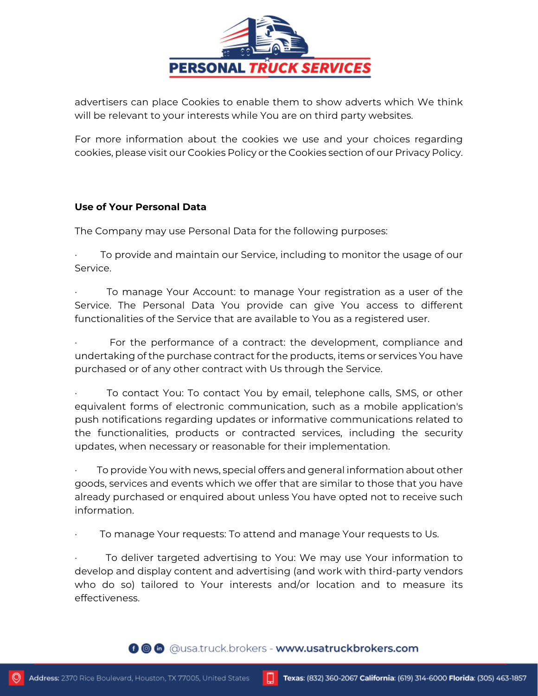

advertisers can place Cookies to enable them to show adverts which We think will be relevant to your interests while You are on third party websites.

For more information about the cookies we use and your choices regarding cookies, please visit our Cookies Policy or the Cookies section of our Privacy Policy.

### **Use of Your Personal Data**

The Company may use Personal Data for the following purposes:

- To provide and maintain our Service, including to monitor the usage of our Service.
- · To manage Your Account: to manage Your registration as a user of the Service. The Personal Data You provide can give You access to different functionalities of the Service that are available to You as a registered user.

For the performance of a contract: the development, compliance and undertaking of the purchase contract for the products, items or services You have purchased or of any other contract with Us through the Service.

To contact You: To contact You by email, telephone calls, SMS, or other equivalent forms of electronic communication, such as a mobile application's push notifications regarding updates or informative communications related to the functionalities, products or contracted services, including the security updates, when necessary or reasonable for their implementation.

· To provide You with news, special offers and general information about other goods, services and events which we offer that are similar to those that you have already purchased or enquired about unless You have opted not to receive such information.

To manage Your requests: To attend and manage Your requests to Us.

· To deliver targeted advertising to You: We may use Your information to develop and display content and advertising (and work with third-party vendors who do so) tailored to Your interests and/or location and to measure its effectiveness.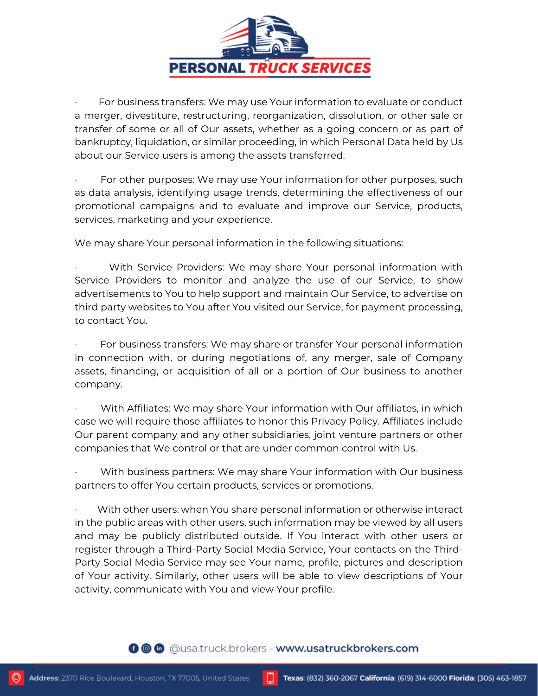

For business transfers: We may use Your information to evaluate or conduct a merger, divestiture, restructuring, reorganization, dissolution, or other sale or transfer of some or all of Our assets, whether as a going concern or as part of bankruptcy, liquidation, or similar proceeding, in which Personal Data held by Us about our Service users is among the assets transferred.

For other purposes: We may use Your information for other purposes, such as data analysis, identifying usage trends, determining the effectiveness of our promotional campaigns and to evaluate and improve our Service, products, services, marketing and your experience.

We may share Your personal information in the following situations:

With Service Providers: We may share Your personal information with Service Providers to monitor and analyze the use of our Service, to show advertisements to You to help support and maintain Our Service, to advertise on third party websites to You after You visited our Service, for payment processing, to contact You.

For business transfers: We may share or transfer Your personal information in connection with, or during negotiations of, any merger, sale of Company assets, financing, or acquisition of all or a portion of Our business to another company.

· With Affiliates: We may share Your information with Our affiliates, in which case we will require those affiliates to honor this Privacy Policy. Affiliates include Our parent company and any other subsidiaries, joint venture partners or other companies that We control or that are under common control with Us.

With business partners: We may share Your information with Our business partners to offer You certain products, services or promotions.

With other users: when You share personal information or otherwise interact in the public areas with other users, such information may be viewed by all users and may be publicly distributed outside. If You interact with other users or register through a Third-Party Social Media Service, Your contacts on the Third-Party Social Media Service may see Your name, profile, pictures and description of Your activity. Similarly, other users will be able to view descriptions of Your activity, communicate with You and view Your profile.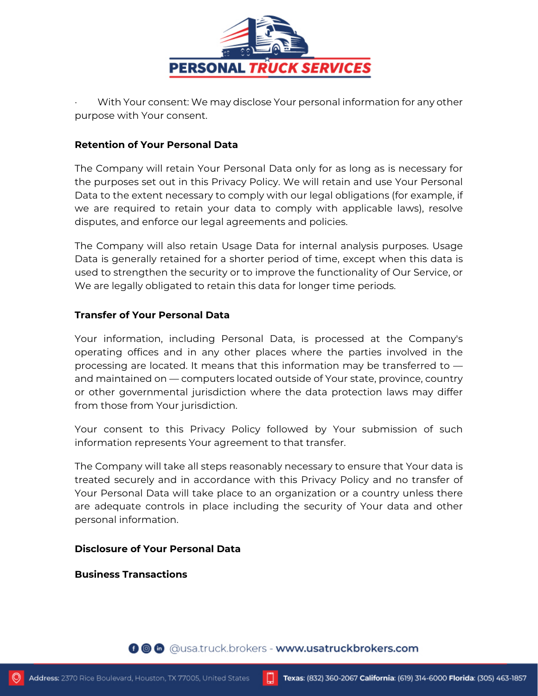

With Your consent: We may disclose Your personal information for any other purpose with Your consent.

## **Retention of Your Personal Data**

The Company will retain Your Personal Data only for as long as is necessary for the purposes set out in this Privacy Policy. We will retain and use Your Personal Data to the extent necessary to comply with our legal obligations (for example, if we are required to retain your data to comply with applicable laws), resolve disputes, and enforce our legal agreements and policies.

The Company will also retain Usage Data for internal analysis purposes. Usage Data is generally retained for a shorter period of time, except when this data is used to strengthen the security or to improve the functionality of Our Service, or We are legally obligated to retain this data for longer time periods.

#### **Transfer of Your Personal Data**

Your information, including Personal Data, is processed at the Company's operating offices and in any other places where the parties involved in the processing are located. It means that this information may be transferred to and maintained on — computers located outside of Your state, province, country or other governmental jurisdiction where the data protection laws may differ from those from Your jurisdiction.

Your consent to this Privacy Policy followed by Your submission of such information represents Your agreement to that transfer.

The Company will take all steps reasonably necessary to ensure that Your data is treated securely and in accordance with this Privacy Policy and no transfer of Your Personal Data will take place to an organization or a country unless there are adequate controls in place including the security of Your data and other personal information.

#### **Disclosure of Your Personal Data**

**Business Transactions**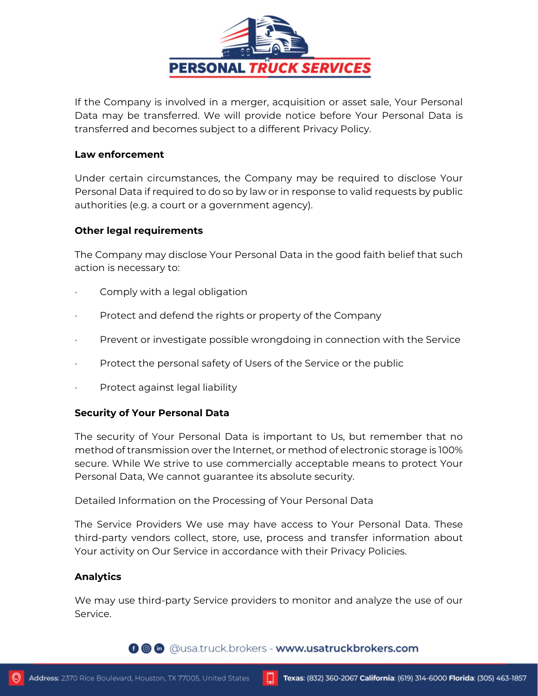

If the Company is involved in a merger, acquisition or asset sale, Your Personal Data may be transferred. We will provide notice before Your Personal Data is transferred and becomes subject to a different Privacy Policy.

#### **Law enforcement**

Under certain circumstances, the Company may be required to disclose Your Personal Data if required to do so by law or in response to valid requests by public authorities (e.g. a court or a government agency).

## **Other legal requirements**

The Company may disclose Your Personal Data in the good faith belief that such action is necessary to:

- Comply with a legal obligation
- Protect and defend the rights or property of the Company
- Prevent or investigate possible wrongdoing in connection with the Service
- Protect the personal safety of Users of the Service or the public
- Protect against legal liability

## **Security of Your Personal Data**

The security of Your Personal Data is important to Us, but remember that no method of transmission over the Internet, or method of electronic storage is 100% secure. While We strive to use commercially acceptable means to protect Your Personal Data, We cannot guarantee its absolute security.

Detailed Information on the Processing of Your Personal Data

The Service Providers We use may have access to Your Personal Data. These third-party vendors collect, store, use, process and transfer information about Your activity on Our Service in accordance with their Privacy Policies.

# **Analytics**

We may use third-party Service providers to monitor and analyze the use of our Service.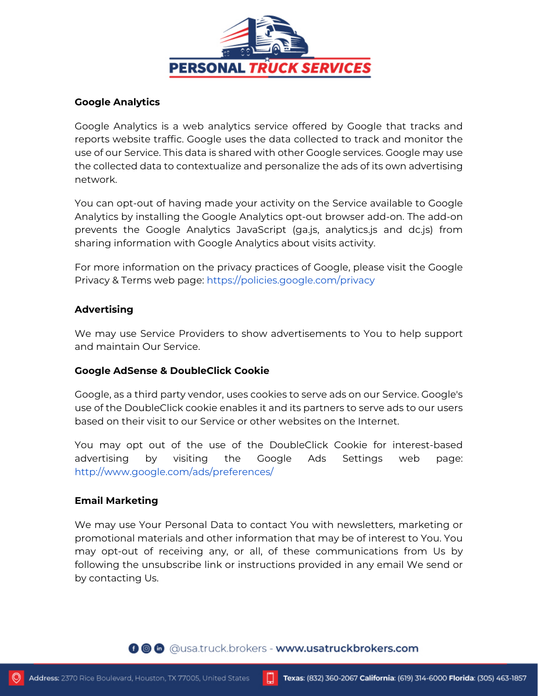

### **Google Analytics**

Google Analytics is a web analytics service offered by Google that tracks and reports website traffic. Google uses the data collected to track and monitor the use of our Service. This data is shared with other Google services. Google may use the collected data to contextualize and personalize the ads of its own advertising network.

You can opt-out of having made your activity on the Service available to Google Analytics by installing the Google Analytics opt-out browser add-on. The add-on prevents the Google Analytics JavaScript (ga.js, analytics.js and dc.js) from sharing information with Google Analytics about visits activity.

For more information on the privacy practices of Google, please visit the Google Privacy & Terms web page: <https://policies.google.com/privacy>

### **Advertising**

We may use Service Providers to show advertisements to You to help support and maintain Our Service.

#### **Google AdSense & DoubleClick Cookie**

Google, as a third party vendor, uses cookies to serve ads on our Service. Google's use of the DoubleClick cookie enables it and its partners to serve ads to our users based on their visit to our Service or other websites on the Internet.

You may opt out of the use of the DoubleClick Cookie for interest-based advertising by visiting the Google Ads Settings web page[:](http://www.google.com/ads/preferences/) <http://www.google.com/ads/preferences/>

## **Email Marketing**

We may use Your Personal Data to contact You with newsletters, marketing or promotional materials and other information that may be of interest to You. You may opt-out of receiving any, or all, of these communications from Us by following the unsubscribe link or instructions provided in any email We send or by contacting Us.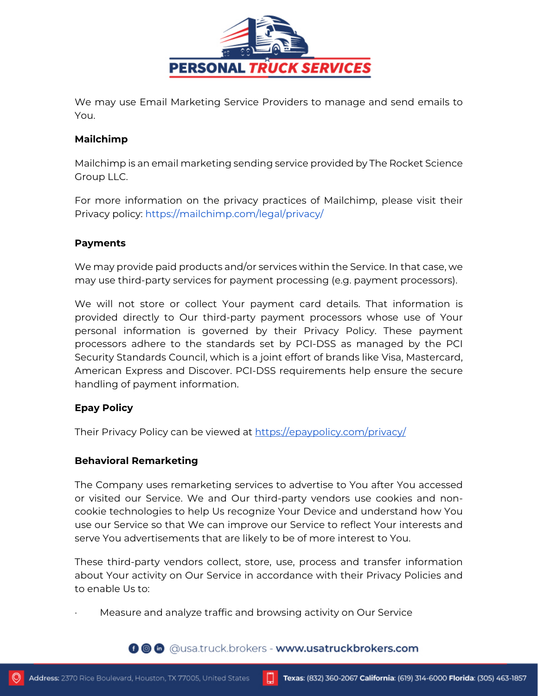

We may use Email Marketing Service Providers to manage and send emails to You.

## **Mailchimp**

Mailchimp is an email marketing sending service provided by The Rocket Science Group LLC.

For more information on the privacy practices of Mailchimp, please visit their Privacy policy: <https://mailchimp.com/legal/privacy/>

## **Payments**

We may provide paid products and/or services within the Service. In that case, we may use third-party services for payment processing (e.g. payment processors).

We will not store or collect Your payment card details. That information is provided directly to Our third-party payment processors whose use of Your personal information is governed by their Privacy Policy. These payment processors adhere to the standards set by PCI-DSS as managed by the PCI Security Standards Council, which is a joint effort of brands like Visa, Mastercard, American Express and Discover. PCI-DSS requirements help ensure the secure handling of payment information.

## **Epay Policy**

Their Privacy Policy can be viewed at <https://epaypolicy.com/privacy/>

## **Behavioral Remarketing**

The Company uses remarketing services to advertise to You after You accessed or visited our Service. We and Our third-party vendors use cookies and noncookie technologies to help Us recognize Your Device and understand how You use our Service so that We can improve our Service to reflect Your interests and serve You advertisements that are likely to be of more interest to You.

These third-party vendors collect, store, use, process and transfer information about Your activity on Our Service in accordance with their Privacy Policies and to enable Us to:

Measure and analyze traffic and browsing activity on Our Service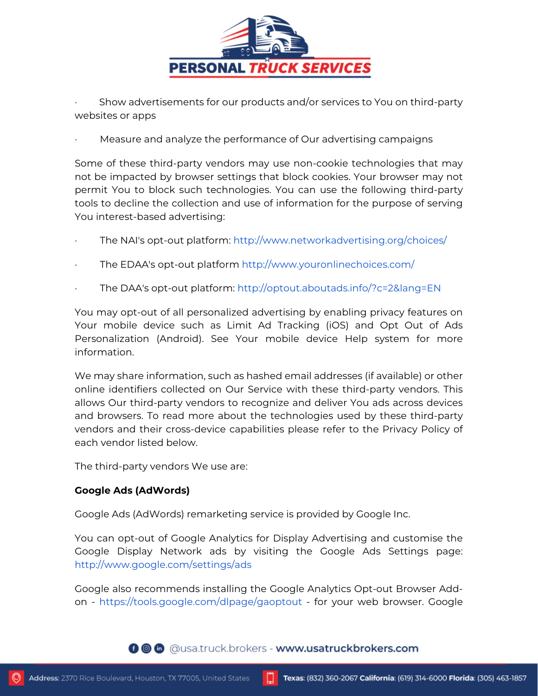

· Show advertisements for our products and/or services to You on third-party websites or apps

Measure and analyze the performance of Our advertising campaigns

Some of these third-party vendors may use non-cookie technologies that may not be impacted by browser settings that block cookies. Your browser may not permit You to block such technologies. You can use the following third-party tools to decline the collection and use of information for the purpose of serving You interest-based advertising:

- The NAI's opt-out platform: <http://www.networkadvertising.org/choices/>
- The EDAA's opt-out platform <http://www.youronlinechoices.com/>
- The DAA's opt-out platform: <http://optout.aboutads.info/?c=2&lang=EN>

You may opt-out of all personalized advertising by enabling privacy features on Your mobile device such as Limit Ad Tracking (iOS) and Opt Out of Ads Personalization (Android). See Your mobile device Help system for more information.

We may share information, such as hashed email addresses (if available) or other online identifiers collected on Our Service with these third-party vendors. This allows Our third-party vendors to recognize and deliver You ads across devices and browsers. To read more about the technologies used by these third-party vendors and their cross-device capabilities please refer to the Privacy Policy of each vendor listed below.

The third-party vendors We use are:

## **Google Ads (AdWords)**

Google Ads (AdWords) remarketing service is provided by Google Inc.

You can opt-out of Google Analytics for Display Advertising and customise the Google Display Network ads by visiting the Google Ads Settings page[:](http://www.google.com/settings/ads) <http://www.google.com/settings/ads>

Google also recommends installing the Google Analytics Opt-out Browser Addon - <https://tools.google.com/dlpage/gaoptout> - for your web browser. Google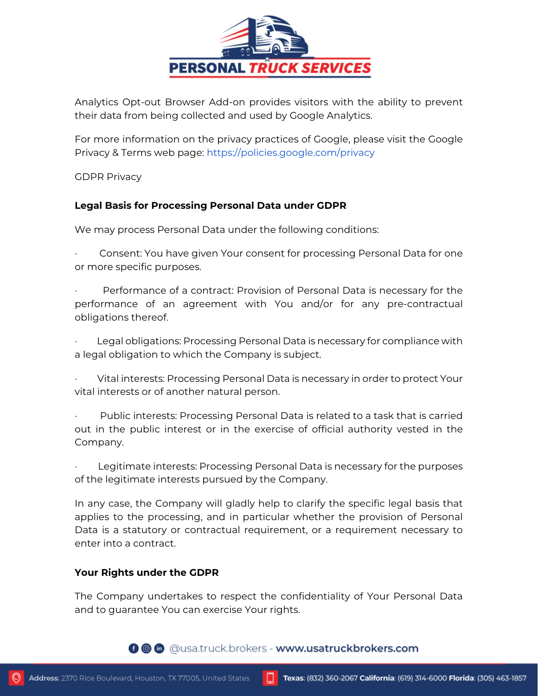

Analytics Opt-out Browser Add-on provides visitors with the ability to prevent their data from being collected and used by Google Analytics.

For more information on the privacy practices of Google, please visit the Google Privacy & Terms web page: <https://policies.google.com/privacy>

GDPR Privacy

## **Legal Basis for Processing Personal Data under GDPR**

We may process Personal Data under the following conditions:

- Consent: You have given Your consent for processing Personal Data for one or more specific purposes.
- Performance of a contract: Provision of Personal Data is necessary for the performance of an agreement with You and/or for any pre-contractual obligations thereof.
- Legal obligations: Processing Personal Data is necessary for compliance with a legal obligation to which the Company is subject.
- · Vital interests: Processing Personal Data is necessary in order to protect Your vital interests or of another natural person.
- Public interests: Processing Personal Data is related to a task that is carried out in the public interest or in the exercise of official authority vested in the Company.
- Legitimate interests: Processing Personal Data is necessary for the purposes of the legitimate interests pursued by the Company.

In any case, the Company will gladly help to clarify the specific legal basis that applies to the processing, and in particular whether the provision of Personal Data is a statutory or contractual requirement, or a requirement necessary to enter into a contract.

## **Your Rights under the GDPR**

The Company undertakes to respect the confidentiality of Your Personal Data and to guarantee You can exercise Your rights.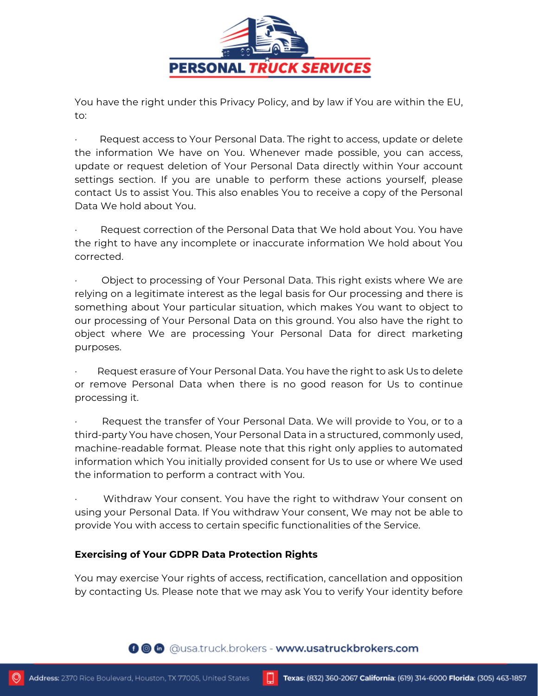

You have the right under this Privacy Policy, and by law if You are within the EU, to:

Request access to Your Personal Data. The right to access, update or delete the information We have on You. Whenever made possible, you can access, update or request deletion of Your Personal Data directly within Your account settings section. If you are unable to perform these actions yourself, please contact Us to assist You. This also enables You to receive a copy of the Personal Data We hold about You.

Request correction of the Personal Data that We hold about You. You have the right to have any incomplete or inaccurate information We hold about You corrected.

· Object to processing of Your Personal Data. This right exists where We are relying on a legitimate interest as the legal basis for Our processing and there is something about Your particular situation, which makes You want to object to our processing of Your Personal Data on this ground. You also have the right to object where We are processing Your Personal Data for direct marketing purposes.

· Request erasure of Your Personal Data. You have the right to ask Us to delete or remove Personal Data when there is no good reason for Us to continue processing it.

Request the transfer of Your Personal Data. We will provide to You, or to a third-party You have chosen, Your Personal Data in a structured, commonly used, machine-readable format. Please note that this right only applies to automated information which You initially provided consent for Us to use or where We used the information to perform a contract with You.

Withdraw Your consent. You have the right to withdraw Your consent on using your Personal Data. If You withdraw Your consent, We may not be able to provide You with access to certain specific functionalities of the Service.

## **Exercising of Your GDPR Data Protection Rights**

You may exercise Your rights of access, rectification, cancellation and opposition by contacting Us. Please note that we may ask You to verify Your identity before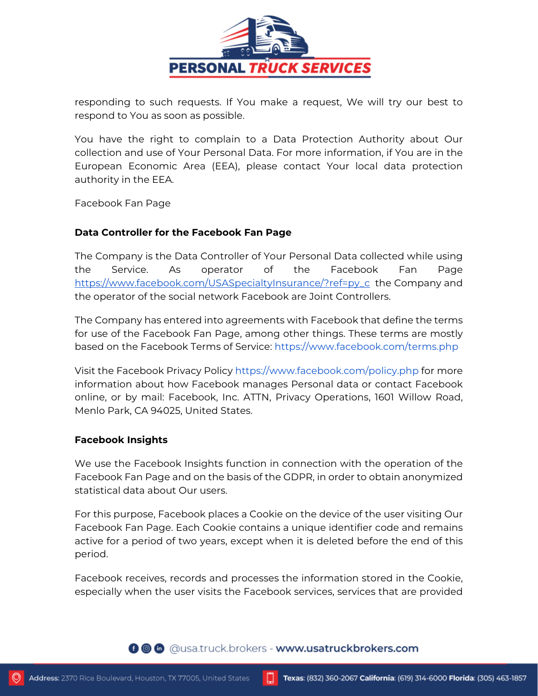

responding to such requests. If You make a request, We will try our best to respond to You as soon as possible.

You have the right to complain to a Data Protection Authority about Our collection and use of Your Personal Data. For more information, if You are in the European Economic Area (EEA), please contact Your local data protection authority in the EEA.

Facebook Fan Page

## **Data Controller for the Facebook Fan Page**

The Company is the Data Controller of Your Personal Data collected while using the Service. As operator of the Facebook Fan Pag[e](https://www.facebook.com/Personal-Truck-Services-104098388690837/?ref=pages_you_manage) [https://www.facebook.com/USASpecialtyInsurance/?ref=py\\_c](https://www.facebook.com/USASpecialtyInsurance/?ref=py_c) the Company and the operator of the social network Facebook are Joint Controllers.

The Company has entered into agreements with Facebook that define the terms for use of the Facebook Fan Page, among other things. These terms are mostly based on the Facebook Terms of Service: <https://www.facebook.com/terms.php>

Visit the Facebook Privacy Policy <https://www.facebook.com/policy.php> for more information about how Facebook manages Personal data or contact Facebook online, or by mail: Facebook, Inc. ATTN, Privacy Operations, 1601 Willow Road, Menlo Park, CA 94025, United States.

#### **Facebook Insights**

We use the Facebook Insights function in connection with the operation of the Facebook Fan Page and on the basis of the GDPR, in order to obtain anonymized statistical data about Our users.

For this purpose, Facebook places a Cookie on the device of the user visiting Our Facebook Fan Page. Each Cookie contains a unique identifier code and remains active for a period of two years, except when it is deleted before the end of this period.

Facebook receives, records and processes the information stored in the Cookie, especially when the user visits the Facebook services, services that are provided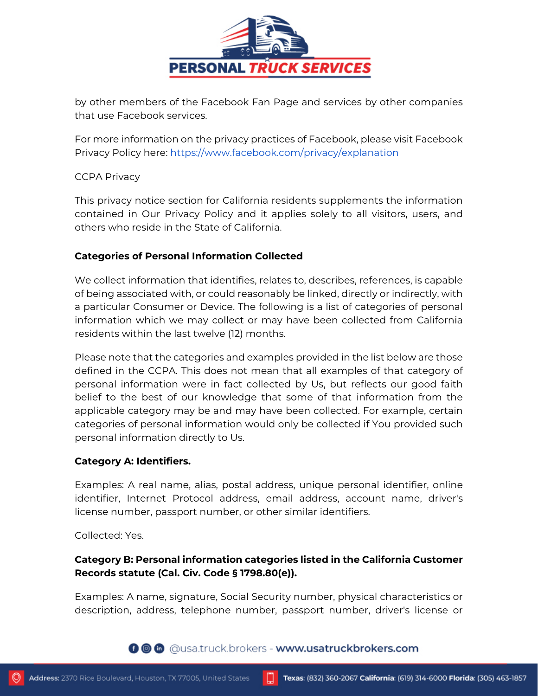

by other members of the Facebook Fan Page and services by other companies that use Facebook services.

For more information on the privacy practices of Facebook, please visit Facebook Privacy Policy here: <https://www.facebook.com/privacy/explanation>

## CCPA Privacy

This privacy notice section for California residents supplements the information contained in Our Privacy Policy and it applies solely to all visitors, users, and others who reside in the State of California.

## **Categories of Personal Information Collected**

We collect information that identifies, relates to, describes, references, is capable of being associated with, or could reasonably be linked, directly or indirectly, with a particular Consumer or Device. The following is a list of categories of personal information which we may collect or may have been collected from California residents within the last twelve (12) months.

Please note that the categories and examples provided in the list below are those defined in the CCPA. This does not mean that all examples of that category of personal information were in fact collected by Us, but reflects our good faith belief to the best of our knowledge that some of that information from the applicable category may be and may have been collected. For example, certain categories of personal information would only be collected if You provided such personal information directly to Us.

## **Category A: Identifiers.**

Examples: A real name, alias, postal address, unique personal identifier, online identifier, Internet Protocol address, email address, account name, driver's license number, passport number, or other similar identifiers.

Collected: Yes.

# **Category B: Personal information categories listed in the California Customer Records statute (Cal. Civ. Code § 1798.80(e)).**

Examples: A name, signature, Social Security number, physical characteristics or description, address, telephone number, passport number, driver's license or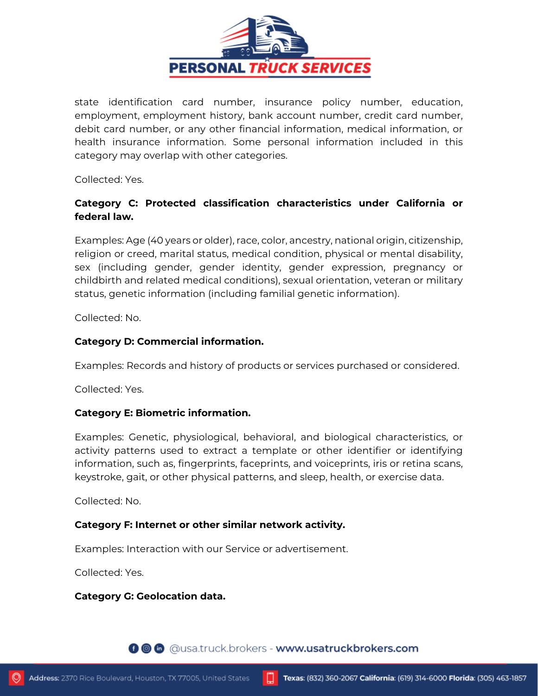

state identification card number, insurance policy number, education, employment, employment history, bank account number, credit card number, debit card number, or any other financial information, medical information, or health insurance information. Some personal information included in this category may overlap with other categories.

Collected: Yes.

# **Category C: Protected classification characteristics under California or federal law.**

Examples: Age (40 years or older), race, color, ancestry, national origin, citizenship, religion or creed, marital status, medical condition, physical or mental disability, sex (including gender, gender identity, gender expression, pregnancy or childbirth and related medical conditions), sexual orientation, veteran or military status, genetic information (including familial genetic information).

Collected: No.

## **Category D: Commercial information.**

Examples: Records and history of products or services purchased or considered.

Collected: Yes.

## **Category E: Biometric information.**

Examples: Genetic, physiological, behavioral, and biological characteristics, or activity patterns used to extract a template or other identifier or identifying information, such as, fingerprints, faceprints, and voiceprints, iris or retina scans, keystroke, gait, or other physical patterns, and sleep, health, or exercise data.

Collected: No.

## **Category F: Internet or other similar network activity.**

Examples: Interaction with our Service or advertisement.

Collected: Yes.

## **Category G: Geolocation data.**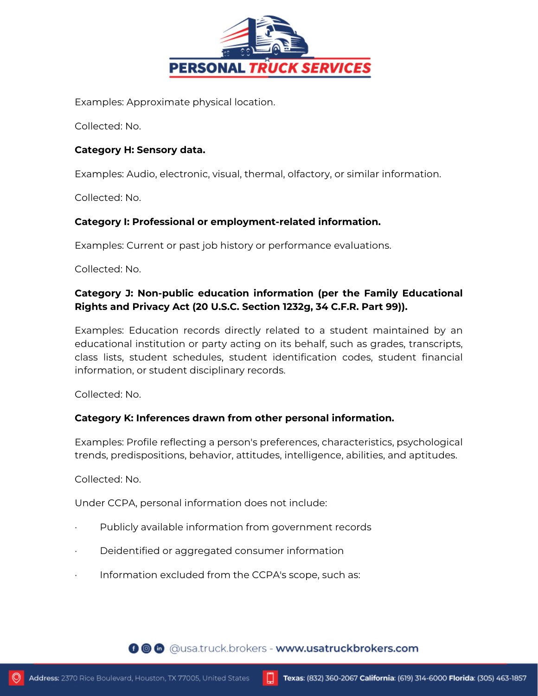

Examples: Approximate physical location.

Collected: No.

### **Category H: Sensory data.**

Examples: Audio, electronic, visual, thermal, olfactory, or similar information.

Collected: No.

## **Category I: Professional or employment-related information.**

Examples: Current or past job history or performance evaluations.

Collected: No.

# **Category J: Non-public education information (per the Family Educational Rights and Privacy Act (20 U.S.C. Section 1232g, 34 C.F.R. Part 99)).**

Examples: Education records directly related to a student maintained by an educational institution or party acting on its behalf, such as grades, transcripts, class lists, student schedules, student identification codes, student financial information, or student disciplinary records.

Collected: No.

## **Category K: Inferences drawn from other personal information.**

Examples: Profile reflecting a person's preferences, characteristics, psychological trends, predispositions, behavior, attitudes, intelligence, abilities, and aptitudes.

Collected: No.

Under CCPA, personal information does not include:

- Publicly available information from government records
- Deidentified or aggregated consumer information
- Information excluded from the CCPA's scope, such as: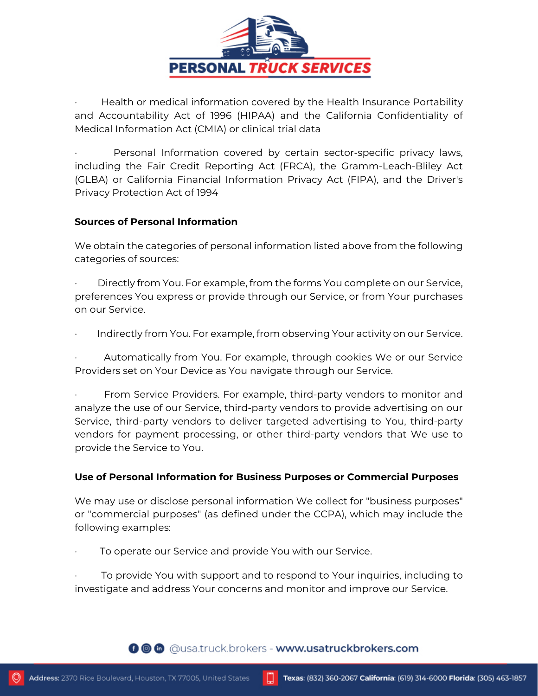

Health or medical information covered by the Health Insurance Portability and Accountability Act of 1996 (HIPAA) and the California Confidentiality of Medical Information Act (CMIA) or clinical trial data

Personal Information covered by certain sector-specific privacy laws, including the Fair Credit Reporting Act (FRCA), the Gramm-Leach-Bliley Act (GLBA) or California Financial Information Privacy Act (FIPA), and the Driver's Privacy Protection Act of 1994

### **Sources of Personal Information**

We obtain the categories of personal information listed above from the following categories of sources:

· Directly from You. For example, from the forms You complete on our Service, preferences You express or provide through our Service, or from Your purchases on our Service.

Indirectly from You. For example, from observing Your activity on our Service.

Automatically from You. For example, through cookies We or our Service Providers set on Your Device as You navigate through our Service.

From Service Providers. For example, third-party vendors to monitor and analyze the use of our Service, third-party vendors to provide advertising on our Service, third-party vendors to deliver targeted advertising to You, third-party vendors for payment processing, or other third-party vendors that We use to provide the Service to You.

#### **Use of Personal Information for Business Purposes or Commercial Purposes**

We may use or disclose personal information We collect for "business purposes" or "commercial purposes" (as defined under the CCPA), which may include the following examples:

To operate our Service and provide You with our Service.

To provide You with support and to respond to Your inquiries, including to investigate and address Your concerns and monitor and improve our Service.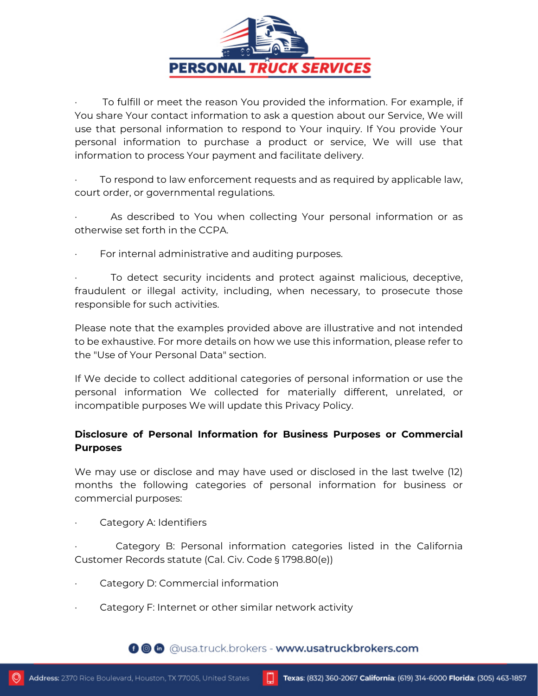

To fulfill or meet the reason You provided the information. For example, if You share Your contact information to ask a question about our Service, We will use that personal information to respond to Your inquiry. If You provide Your personal information to purchase a product or service, We will use that information to process Your payment and facilitate delivery.

· To respond to law enforcement requests and as required by applicable law, court order, or governmental regulations.

As described to You when collecting Your personal information or as otherwise set forth in the CCPA.

For internal administrative and auditing purposes.

To detect security incidents and protect against malicious, deceptive, fraudulent or illegal activity, including, when necessary, to prosecute those responsible for such activities.

Please note that the examples provided above are illustrative and not intended to be exhaustive. For more details on how we use this information, please refer to the "Use of Your Personal Data" section.

If We decide to collect additional categories of personal information or use the personal information We collected for materially different, unrelated, or incompatible purposes We will update this Privacy Policy.

# **Disclosure of Personal Information for Business Purposes or Commercial Purposes**

We may use or disclose and may have used or disclosed in the last twelve (12) months the following categories of personal information for business or commercial purposes:

Category A: Identifiers

Category B: Personal information categories listed in the California Customer Records statute (Cal. Civ. Code § 1798.80(e))

- Category D: Commercial information
- Category F: Internet or other similar network activity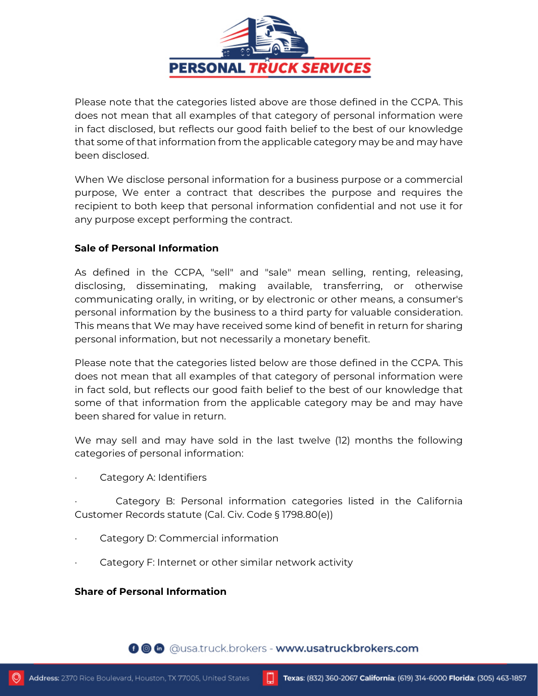

Please note that the categories listed above are those defined in the CCPA. This does not mean that all examples of that category of personal information were in fact disclosed, but reflects our good faith belief to the best of our knowledge that some of that information from the applicable category may be and may have been disclosed.

When We disclose personal information for a business purpose or a commercial purpose, We enter a contract that describes the purpose and requires the recipient to both keep that personal information confidential and not use it for any purpose except performing the contract.

## **Sale of Personal Information**

As defined in the CCPA, "sell" and "sale" mean selling, renting, releasing, disclosing, disseminating, making available, transferring, or otherwise communicating orally, in writing, or by electronic or other means, a consumer's personal information by the business to a third party for valuable consideration. This means that We may have received some kind of benefit in return for sharing personal information, but not necessarily a monetary benefit.

Please note that the categories listed below are those defined in the CCPA. This does not mean that all examples of that category of personal information were in fact sold, but reflects our good faith belief to the best of our knowledge that some of that information from the applicable category may be and may have been shared for value in return.

We may sell and may have sold in the last twelve (12) months the following categories of personal information:

- Category A: Identifiers
- Category B: Personal information categories listed in the California Customer Records statute (Cal. Civ. Code § 1798.80(e))
- Category D: Commercial information
- Category F: Internet or other similar network activity

## **Share of Personal Information**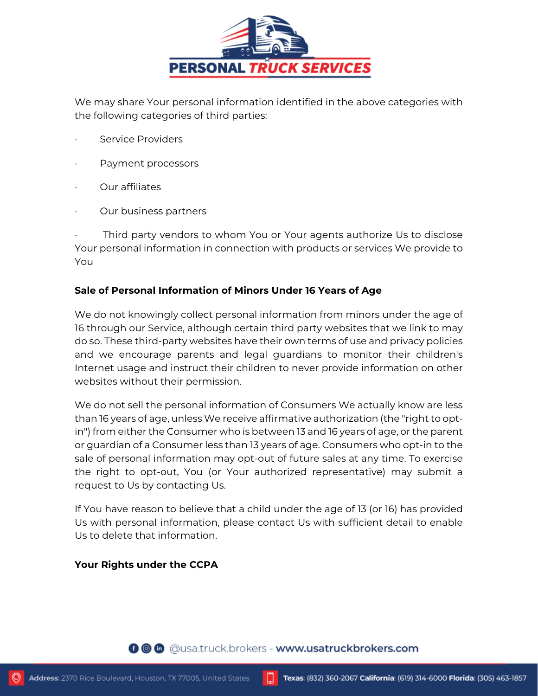

We may share Your personal information identified in the above categories with the following categories of third parties:

- Service Providers
- Payment processors
- · Our affiliates
- · Our business partners

Third party vendors to whom You or Your agents authorize Us to disclose Your personal information in connection with products or services We provide to You

### **Sale of Personal Information of Minors Under 16 Years of Age**

We do not knowingly collect personal information from minors under the age of 16 through our Service, although certain third party websites that we link to may do so. These third-party websites have their own terms of use and privacy policies and we encourage parents and legal guardians to monitor their children's Internet usage and instruct their children to never provide information on other websites without their permission.

We do not sell the personal information of Consumers We actually know are less than 16 years of age, unless We receive affirmative authorization (the "right to optin") from either the Consumer who is between 13 and 16 years of age, or the parent or guardian of a Consumer less than 13 years of age. Consumers who opt-in to the sale of personal information may opt-out of future sales at any time. To exercise the right to opt-out, You (or Your authorized representative) may submit a request to Us by contacting Us.

If You have reason to believe that a child under the age of 13 (or 16) has provided Us with personal information, please contact Us with sufficient detail to enable Us to delete that information.

#### **Your Rights under the CCPA**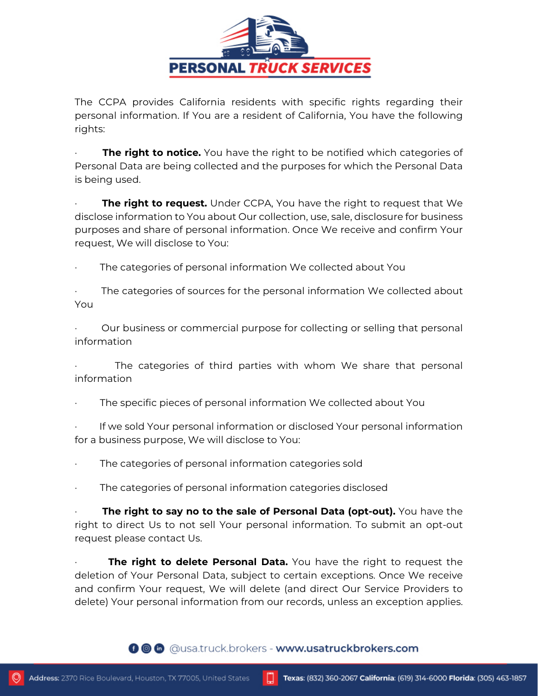

The CCPA provides California residents with specific rights regarding their personal information. If You are a resident of California, You have the following rights:

**The right to notice.** You have the right to be notified which categories of Personal Data are being collected and the purposes for which the Personal Data is being used.

**The right to request.** Under CCPA, You have the right to request that We disclose information to You about Our collection, use, sale, disclosure for business purposes and share of personal information. Once We receive and confirm Your request, We will disclose to You:

- The categories of personal information We collected about You
- The categories of sources for the personal information We collected about You

Our business or commercial purpose for collecting or selling that personal information

The categories of third parties with whom We share that personal information

- The specific pieces of personal information We collected about You
- If we sold Your personal information or disclosed Your personal information for a business purpose, We will disclose to You:
- The categories of personal information categories sold
- The categories of personal information categories disclosed

**The right to say no to the sale of Personal Data (opt-out).** You have the right to direct Us to not sell Your personal information. To submit an opt-out request please contact Us.

**The right to delete Personal Data.** You have the right to request the deletion of Your Personal Data, subject to certain exceptions. Once We receive and confirm Your request, We will delete (and direct Our Service Providers to delete) Your personal information from our records, unless an exception applies.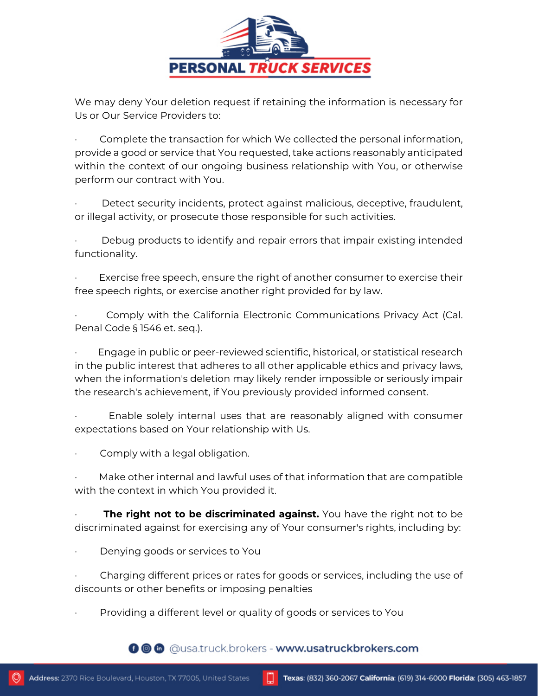

We may deny Your deletion request if retaining the information is necessary for Us or Our Service Providers to:

Complete the transaction for which We collected the personal information, provide a good or service that You requested, take actions reasonably anticipated within the context of our ongoing business relationship with You, or otherwise perform our contract with You.

Detect security incidents, protect against malicious, deceptive, fraudulent, or illegal activity, or prosecute those responsible for such activities.

Debug products to identify and repair errors that impair existing intended functionality.

Exercise free speech, ensure the right of another consumer to exercise their free speech rights, or exercise another right provided for by law.

Comply with the California Electronic Communications Privacy Act (Cal. Penal Code § 1546 et. seq.).

· Engage in public or peer-reviewed scientific, historical, or statistical research in the public interest that adheres to all other applicable ethics and privacy laws, when the information's deletion may likely render impossible or seriously impair the research's achievement, if You previously provided informed consent.

Enable solely internal uses that are reasonably aligned with consumer expectations based on Your relationship with Us.

Comply with a legal obligation.

Make other internal and lawful uses of that information that are compatible with the context in which You provided it.

**The right not to be discriminated against.** You have the right not to be discriminated against for exercising any of Your consumer's rights, including by:

- Denying goods or services to You
- Charging different prices or rates for goods or services, including the use of discounts or other benefits or imposing penalties
- Providing a different level or quality of goods or services to You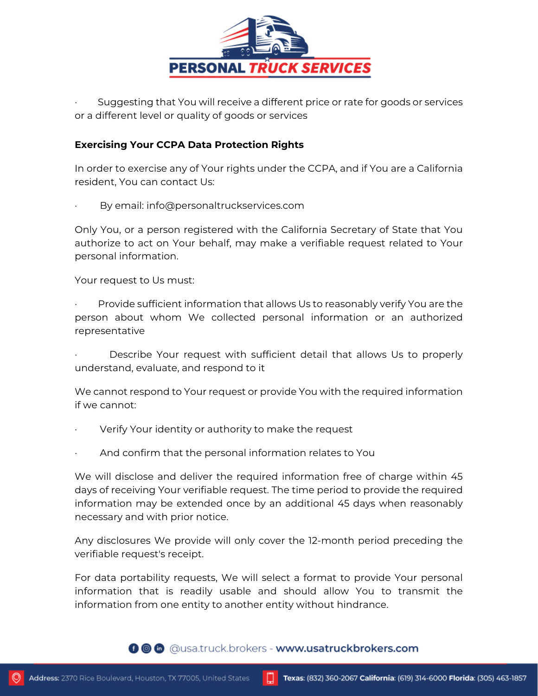

· Suggesting that You will receive a different price or rate for goods or services or a different level or quality of goods or services

## **Exercising Your CCPA Data Protection Rights**

In order to exercise any of Your rights under the CCPA, and if You are a California resident, You can contact Us:

By email: info@personaltruckservices.com

Only You, or a person registered with the California Secretary of State that You authorize to act on Your behalf, may make a verifiable request related to Your personal information.

Your request to Us must:

Provide sufficient information that allows Us to reasonably verify You are the person about whom We collected personal information or an authorized representative

Describe Your request with sufficient detail that allows Us to properly understand, evaluate, and respond to it

We cannot respond to Your request or provide You with the required information if we cannot:

- · Verify Your identity or authority to make the request
- · And confirm that the personal information relates to You

We will disclose and deliver the required information free of charge within 45 days of receiving Your verifiable request. The time period to provide the required information may be extended once by an additional 45 days when reasonably necessary and with prior notice.

Any disclosures We provide will only cover the 12-month period preceding the verifiable request's receipt.

For data portability requests, We will select a format to provide Your personal information that is readily usable and should allow You to transmit the information from one entity to another entity without hindrance.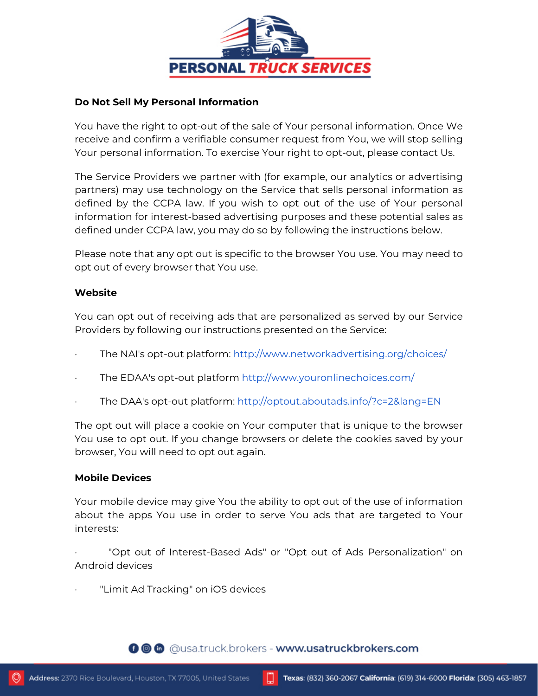

### **Do Not Sell My Personal Information**

You have the right to opt-out of the sale of Your personal information. Once We receive and confirm a verifiable consumer request from You, we will stop selling Your personal information. To exercise Your right to opt-out, please contact Us.

The Service Providers we partner with (for example, our analytics or advertising partners) may use technology on the Service that sells personal information as defined by the CCPA law. If you wish to opt out of the use of Your personal information for interest-based advertising purposes and these potential sales as defined under CCPA law, you may do so by following the instructions below.

Please note that any opt out is specific to the browser You use. You may need to opt out of every browser that You use.

#### **Website**

You can opt out of receiving ads that are personalized as served by our Service Providers by following our instructions presented on the Service:

- · The NAI's opt-out platform: <http://www.networkadvertising.org/choices/>
- The EDAA's opt-out platform <http://www.youronlinechoices.com/>
- The DAA's opt-out platform: <http://optout.aboutads.info/?c=2&lang=EN>

The opt out will place a cookie on Your computer that is unique to the browser You use to opt out. If you change browsers or delete the cookies saved by your browser, You will need to opt out again.

#### **Mobile Devices**

Your mobile device may give You the ability to opt out of the use of information about the apps You use in order to serve You ads that are targeted to Your interests:

· "Opt out of Interest-Based Ads" or "Opt out of Ads Personalization" on Android devices

"Limit Ad Tracking" on iOS devices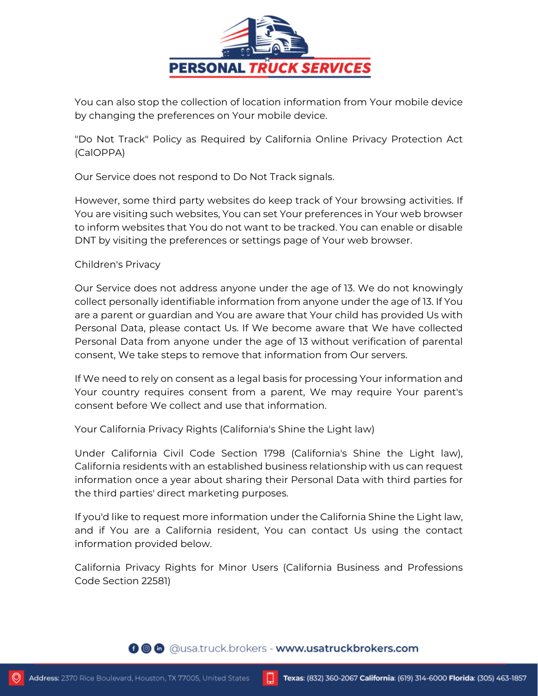

You can also stop the collection of location information from Your mobile device by changing the preferences on Your mobile device.

"Do Not Track" Policy as Required by California Online Privacy Protection Act (CalOPPA)

Our Service does not respond to Do Not Track signals.

However, some third party websites do keep track of Your browsing activities. If You are visiting such websites, You can set Your preferences in Your web browser to inform websites that You do not want to be tracked. You can enable or disable DNT by visiting the preferences or settings page of Your web browser.

Children's Privacy

Our Service does not address anyone under the age of 13. We do not knowingly collect personally identifiable information from anyone under the age of 13. If You are a parent or guardian and You are aware that Your child has provided Us with Personal Data, please contact Us. If We become aware that We have collected Personal Data from anyone under the age of 13 without verification of parental consent, We take steps to remove that information from Our servers.

If We need to rely on consent as a legal basis for processing Your information and Your country requires consent from a parent, We may require Your parent's consent before We collect and use that information.

Your California Privacy Rights (California's Shine the Light law)

Under California Civil Code Section 1798 (California's Shine the Light law), California residents with an established business relationship with us can request information once a year about sharing their Personal Data with third parties for the third parties' direct marketing purposes.

If you'd like to request more information under the California Shine the Light law, and if You are a California resident, You can contact Us using the contact information provided below.

California Privacy Rights for Minor Users (California Business and Professions Code Section 22581)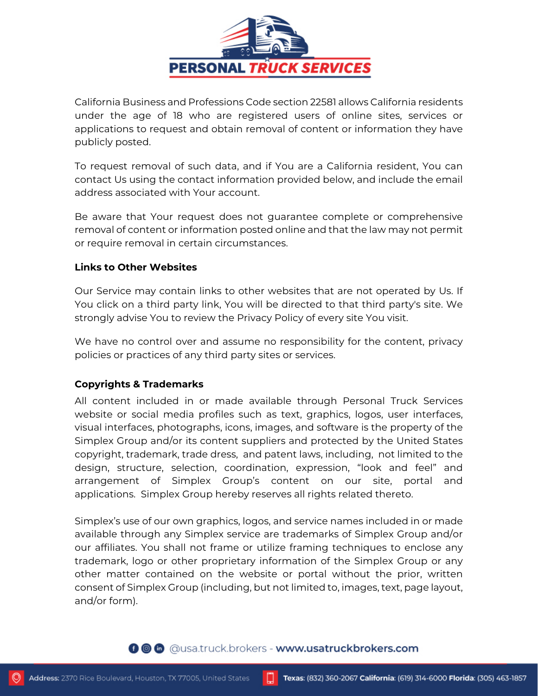

California Business and Professions Code section 22581 allows California residents under the age of 18 who are registered users of online sites, services or applications to request and obtain removal of content or information they have publicly posted.

To request removal of such data, and if You are a California resident, You can contact Us using the contact information provided below, and include the email address associated with Your account.

Be aware that Your request does not guarantee complete or comprehensive removal of content or information posted online and that the law may not permit or require removal in certain circumstances.

### **Links to Other Websites**

Our Service may contain links to other websites that are not operated by Us. If You click on a third party link, You will be directed to that third party's site. We strongly advise You to review the Privacy Policy of every site You visit.

We have no control over and assume no responsibility for the content, privacy policies or practices of any third party sites or services.

## **Copyrights & Trademarks**

All content included in or made available through Personal Truck Services website or social media profiles such as text, graphics, logos, user interfaces, visual interfaces, photographs, icons, images, and software is the property of the Simplex Group and/or its content suppliers and protected by the United States copyright, trademark, trade dress, and patent laws, including, not limited to the design, structure, selection, coordination, expression, "look and feel" and arrangement of Simplex Group's content on our site, portal and applications. Simplex Group hereby reserves all rights related thereto.

Simplex's use of our own graphics, logos, and service names included in or made available through any Simplex service are trademarks of Simplex Group and/or our affiliates. You shall not frame or utilize framing techniques to enclose any trademark, logo or other proprietary information of the Simplex Group or any other matter contained on the website or portal without the prior, written consent of Simplex Group (including, but not limited to, images, text, page layout, and/or form).